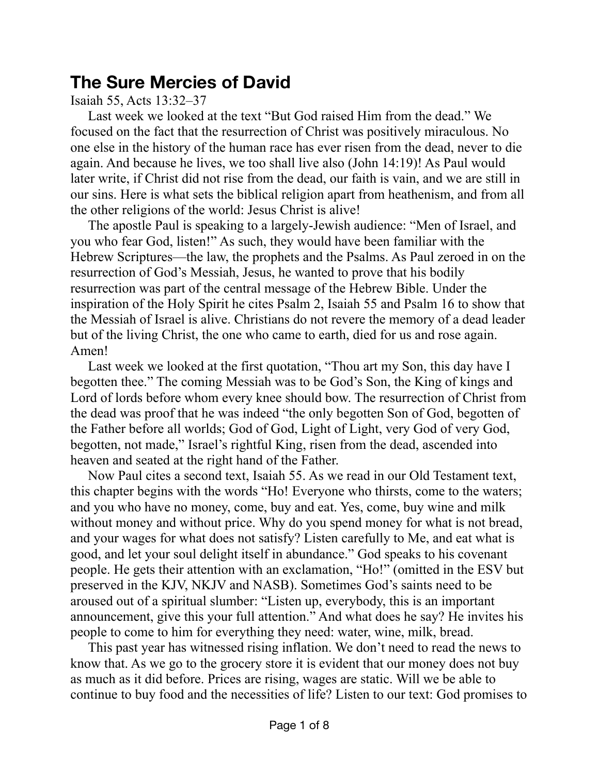# **The Sure Mercies of David**

## Isaiah 55, Acts 13:32–37

Last week we looked at the text "But God raised Him from the dead." We focused on the fact that the resurrection of Christ was positively miraculous. No one else in the history of the human race has ever risen from the dead, never to die again. And because he lives, we too shall live also (John 14:19)! As Paul would later write, if Christ did not rise from the dead, our faith is vain, and we are still in our sins. Here is what sets the biblical religion apart from heathenism, and from all the other religions of the world: Jesus Christ is alive!

The apostle Paul is speaking to a largely-Jewish audience: "Men of Israel, and you who fear God, listen!" As such, they would have been familiar with the Hebrew Scriptures—the law, the prophets and the Psalms. As Paul zeroed in on the resurrection of God's Messiah, Jesus, he wanted to prove that his bodily resurrection was part of the central message of the Hebrew Bible. Under the inspiration of the Holy Spirit he cites Psalm 2, Isaiah 55 and Psalm 16 to show that the Messiah of Israel is alive. Christians do not revere the memory of a dead leader but of the living Christ, the one who came to earth, died for us and rose again. Amen!

Last week we looked at the first quotation, "Thou art my Son, this day have I begotten thee." The coming Messiah was to be God's Son, the King of kings and Lord of lords before whom every knee should bow. The resurrection of Christ from the dead was proof that he was indeed "the only begotten Son of God, begotten of the Father before all worlds; God of God, Light of Light, very God of very God, begotten, not made," Israel's rightful King, risen from the dead, ascended into heaven and seated at the right hand of the Father.

Now Paul cites a second text, Isaiah 55. As we read in our Old Testament text, this chapter begins with the words "Ho! Everyone who thirsts, come to the waters; and you who have no money, come, buy and eat. Yes, come, buy wine and milk without money and without price. Why do you spend money for what is not bread, and your wages for what does not satisfy? Listen carefully to Me, and eat what is good, and let your soul delight itself in abundance." God speaks to his covenant people. He gets their attention with an exclamation, "Ho!" (omitted in the ESV but preserved in the KJV, NKJV and NASB). Sometimes God's saints need to be aroused out of a spiritual slumber: "Listen up, everybody, this is an important announcement, give this your full attention." And what does he say? He invites his people to come to him for everything they need: water, wine, milk, bread.

This past year has witnessed rising inflation. We don't need to read the news to know that. As we go to the grocery store it is evident that our money does not buy as much as it did before. Prices are rising, wages are static. Will we be able to continue to buy food and the necessities of life? Listen to our text: God promises to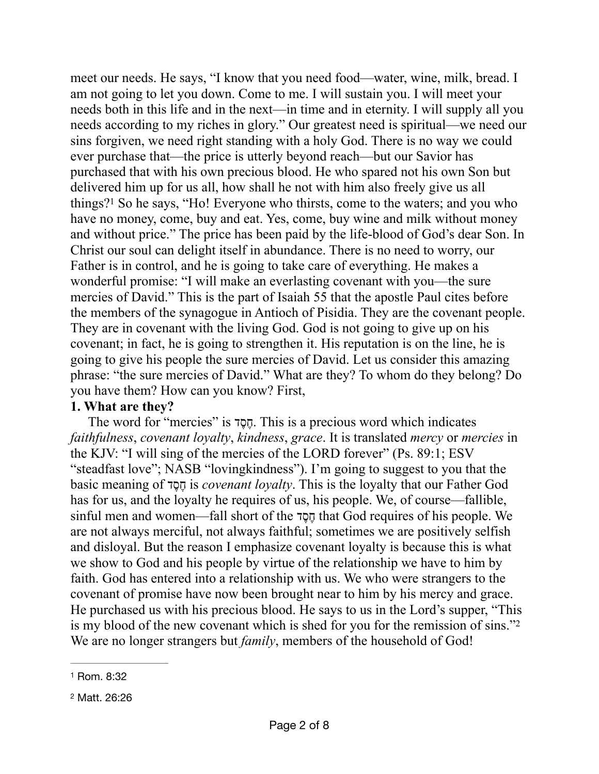<span id="page-1-2"></span>meet our needs. He says, "I know that you need food—water, wine, milk, bread. I am not going to let you down. Come to me. I will sustain you. I will meet your needs both in this life and in the next—in time and in eternity. I will supply all you needs according to my riches in glory." Our greatest need is spiritual—we need our sins forgiven, we need right standing with a holy God. There is no way we could ever purchase that—the price is utterly beyond reach—but our Savior has purchased that with his own precious blood. He who spared not his own Son but delivered him up for us all, how shall he not with him also freely give us all things[?](#page-1-0)<sup>[1](#page-1-0)</sup> So he says, "Ho! Everyone who thirsts, come to the waters; and you who have no money, come, buy and eat. Yes, come, buy wine and milk without money and without price." The price has been paid by the life-blood of God's dear Son. In Christ our soul can delight itself in abundance. There is no need to worry, our Father is in control, and he is going to take care of everything. He makes a wonderful promise: "I will make an everlasting covenant with you—the sure mercies of David." This is the part of Isaiah 55 that the apostle Paul cites before the members of the synagogue in Antioch of Pisidia. They are the covenant people. They are in covenant with the living God. God is not going to give up on his covenant; in fact, he is going to strengthen it. His reputation is on the line, he is going to give his people the sure mercies of David. Let us consider this amazing phrase: "the sure mercies of David." What are they? To whom do they belong? Do you have them? How can you know? First,

### **1. What are they?**

The word for "mercies" is דֶסֶח. This is a precious word which indicates *faithfulness*, *covenant loyalty*, *kindness*, *grace*. It is translated *mercy* or *mercies* in the KJV: "I will sing of the mercies of the LORD forever" (Ps. 89:1; ESV "steadfast love"; NASB "lovingkindness"). I'm going to suggest to you that the basic meaning of דֶסֶח is *covenant loyalty*. This is the loyalty that our Father God has for us, and the loyalty he requires of us, his people. We, of course—fallible, sinful men and women—fall short of the דֶסֶח that God requires of his people. We are not always merciful, not always faithful; sometimes we are positively selfish and disloyal. But the reason I emphasize covenant loyalty is because this is what we show to God and his people by virtue of the relationship we have to him by faith. God has entered into a relationship with us. We who were strangers to the covenant of promise have now been brought near to him by his mercy and grace. He purchased us with his precious blood. He says to us in the Lord's supper, "This is my blood of the new covenant which is shed for you for the remission of sins.["2](#page-1-1) We are no longer strangers but *family*, members of the household of God!

<span id="page-1-3"></span><span id="page-1-0"></span>[<sup>1</sup>](#page-1-2) Rom. 8:32

<span id="page-1-1"></span>[<sup>2</sup>](#page-1-3) Matt. 26:26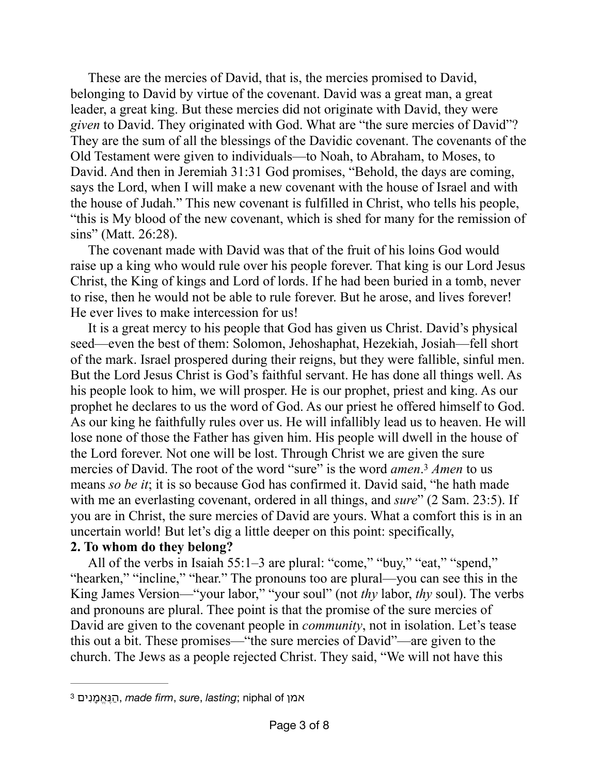These are the mercies of David, that is, the mercies promised to David, belonging to David by virtue of the covenant. David was a great man, a great leader, a great king. But these mercies did not originate with David, they were *given* to David. They originated with God. What are "the sure mercies of David"? They are the sum of all the blessings of the Davidic covenant. The covenants of the Old Testament were given to individuals—to Noah, to Abraham, to Moses, to David. And then in Jeremiah 31:31 God promises, "Behold, the days are coming, says the Lord, when I will make a new covenant with the house of Israel and with the house of Judah." This new covenant is fulfilled in Christ, who tells his people, "this is My blood of the new covenant, which is shed for many for the remission of sins" (Matt. 26:28).

The covenant made with David was that of the fruit of his loins God would raise up a king who would rule over his people forever. That king is our Lord Jesus Christ, the King of kings and Lord of lords. If he had been buried in a tomb, never to rise, then he would not be able to rule forever. But he arose, and lives forever! He ever lives to make intercession for us!

It is a great mercy to his people that God has given us Christ. David's physical seed—even the best of them: Solomon, Jehoshaphat, Hezekiah, Josiah—fell short of the mark. Israel prospered during their reigns, but they were fallible, sinful men. But the Lord Jesus Christ is God's faithful servant. He has done all things well. As his people look to him, we will prosper. He is our prophet, priest and king. As our prophet he declares to us the word of God. As our priest he offered himself to God. As our king he faithfully rules over us. He will infallibly lead us to heaven. He will lose none of those the Father has given him. His people will dwell in the house of the Lord forever. Not one will be lost. Through Christ we are given the sure mercies of David. The root of the word "sure" is the word *amen*.<sup>[3](#page-2-0)</sup> Amen to us means *so be it*; it is so because God has confirmed it. David said, "he hath made with me an everlasting covenant, ordered in all things, and *sure*" (2 Sam. 23:5). If you are in Christ, the sure mercies of David are yours. What a comfort this is in an uncertain world! But let's dig a little deeper on this point: specifically,

#### <span id="page-2-1"></span>**2. To whom do they belong?**

All of the verbs in Isaiah 55:1–3 are plural: "come," "buy," "eat," "spend," "hearken," "incline," "hear." The pronouns too are plural—you can see this in the King James Version—"your labor," "your soul" (not *thy* labor, *thy* soul). The verbs and pronouns are plural. Thee point is that the promise of the sure mercies of David are given to the covenant people in *community*, not in isolation. Let's tease this out a bit. These promises—"the sure mercies of David"—are given to the church. The Jews as a people rejected Christ. They said, "We will not have this

<span id="page-2-0"></span> $^3$  $^3$  הַנֶּאֱמַנִים *made firm, sure, lasting*; niphal of ה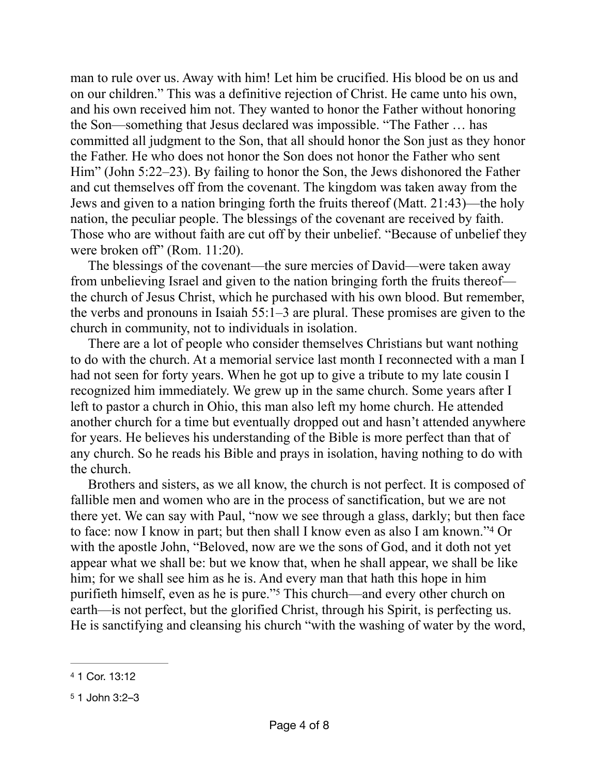man to rule over us. Away with him! Let him be crucified. His blood be on us and on our children." This was a definitive rejection of Christ. He came unto his own, and his own received him not. They wanted to honor the Father without honoring the Son—something that Jesus declared was impossible. "The Father … has committed all judgment to the Son, that all should honor the Son just as they honor the Father. He who does not honor the Son does not honor the Father who sent Him" (John 5:22–23). By failing to honor the Son, the Jews dishonored the Father and cut themselves off from the covenant. The kingdom was taken away from the Jews and given to a nation bringing forth the fruits thereof (Matt. 21:43)—the holy nation, the peculiar people. The blessings of the covenant are received by faith. Those who are without faith are cut off by their unbelief. "Because of unbelief they were broken off" (Rom. 11:20).

The blessings of the covenant—the sure mercies of David—were taken away from unbelieving Israel and given to the nation bringing forth the fruits thereof the church of Jesus Christ, which he purchased with his own blood. But remember, the verbs and pronouns in Isaiah 55:1–3 are plural. These promises are given to the church in community, not to individuals in isolation.

There are a lot of people who consider themselves Christians but want nothing to do with the church. At a memorial service last month I reconnected with a man I had not seen for forty years. When he got up to give a tribute to my late cousin I recognized him immediately. We grew up in the same church. Some years after I left to pastor a church in Ohio, this man also left my home church. He attended another church for a time but eventually dropped out and hasn't attended anywhere for years. He believes his understanding of the Bible is more perfect than that of any church. So he reads his Bible and prays in isolation, having nothing to do with the church.

<span id="page-3-2"></span>Brothers and sisters, as we all know, the church is not perfect. It is composed of fallible men and women who are in the process of sanctification, but we are not there yet. We can say with Paul, "now we see through a glass, darkly; but then face to face: now I know in part; but then shall I know even as also I am known.["](#page-3-0) $4$  Or with the apostle John, "Beloved, now are we the sons of God, and it doth not yet appear what we shall be: but we know that, when he shall appear, we shall be like him; for we shall see him as he is. And every man that hath this hope in him purifiethhimself, even as he is pure."<sup>[5](#page-3-1)</sup> This church—and every other church on earth—is not perfect, but the glorified Christ, through his Spirit, is perfecting us. He is sanctifying and cleansing his church "with the washing of water by the word,

<span id="page-3-3"></span><span id="page-3-0"></span>[<sup>4</sup>](#page-3-2) 1 Cor. 13:12

<span id="page-3-1"></span>[<sup>5</sup>](#page-3-3) 1 John 3:2–3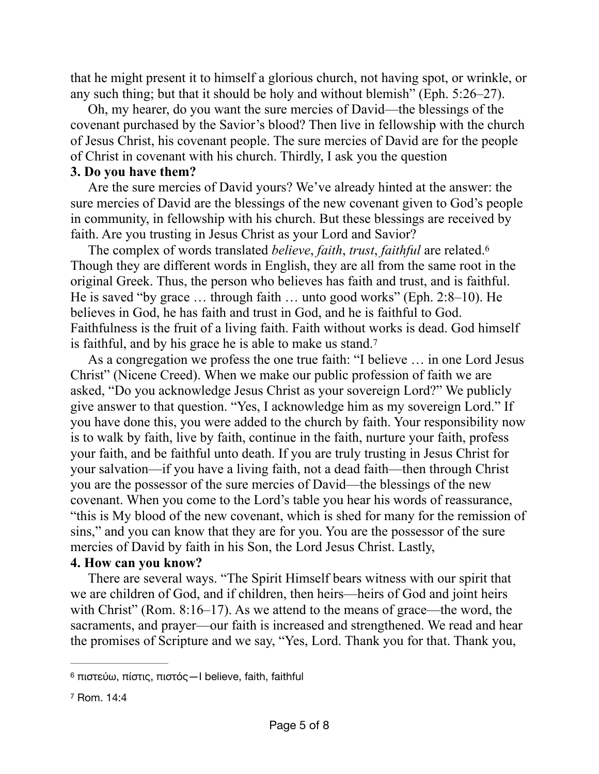that he might present it to himself a glorious church, not having spot, or wrinkle, or any such thing; but that it should be holy and without blemish" (Eph. 5:26–27).

Oh, my hearer, do you want the sure mercies of David—the blessings of the covenant purchased by the Savior's blood? Then live in fellowship with the church of Jesus Christ, his covenant people. The sure mercies of David are for the people of Christ in covenant with his church. Thirdly, I ask you the question

#### **3. Do you have them?**

Are the sure mercies of David yours? We've already hinted at the answer: the sure mercies of David are the blessings of the new covenant given to God's people in community, in fellowship with his church. But these blessings are received by faith. Are you trusting in Jesus Christ as your Lord and Savior?

<span id="page-4-2"></span>The complex of words translated *believe*, *faith*, *trust*, *faithful* are related.[6](#page-4-0) Though they are different words in English, they are all from the same root in the original Greek. Thus, the person who believes has faith and trust, and is faithful. He is saved "by grace … through faith … unto good works" (Eph. 2:8–10). He believes in God, he has faith and trust in God, and he is faithful to God. Faithfulness is the fruit of a living faith. Faith without works is dead. God himself is faithful, and by his grace he is able to make us stand[.7](#page-4-1)

<span id="page-4-3"></span>As a congregation we profess the one true faith: "I believe … in one Lord Jesus Christ" (Nicene Creed). When we make our public profession of faith we are asked, "Do you acknowledge Jesus Christ as your sovereign Lord?" We publicly give answer to that question. "Yes, I acknowledge him as my sovereign Lord." If you have done this, you were added to the church by faith. Your responsibility now is to walk by faith, live by faith, continue in the faith, nurture your faith, profess your faith, and be faithful unto death. If you are truly trusting in Jesus Christ for your salvation—if you have a living faith, not a dead faith—then through Christ you are the possessor of the sure mercies of David—the blessings of the new covenant. When you come to the Lord's table you hear his words of reassurance, "this is My blood of the new covenant, which is shed for many for the remission of sins," and you can know that they are for you. You are the possessor of the sure mercies of David by faith in his Son, the Lord Jesus Christ. Lastly,

#### **4. How can you know?**

There are several ways. "The Spirit Himself bears witness with our spirit that we are children of God, and if children, then heirs—heirs of God and joint heirs with Christ" (Rom. 8:16–17). As we attend to the means of grace—the word, the sacraments, and prayer—our faith is increased and strengthened. We read and hear the promises of Scripture and we say, "Yes, Lord. Thank you for that. Thank you,

<span id="page-4-0"></span>πιστεύω, πίστις, πιστός—I believe, faith, faithful [6](#page-4-2)

<span id="page-4-1"></span>[<sup>7</sup>](#page-4-3) Rom. 14:4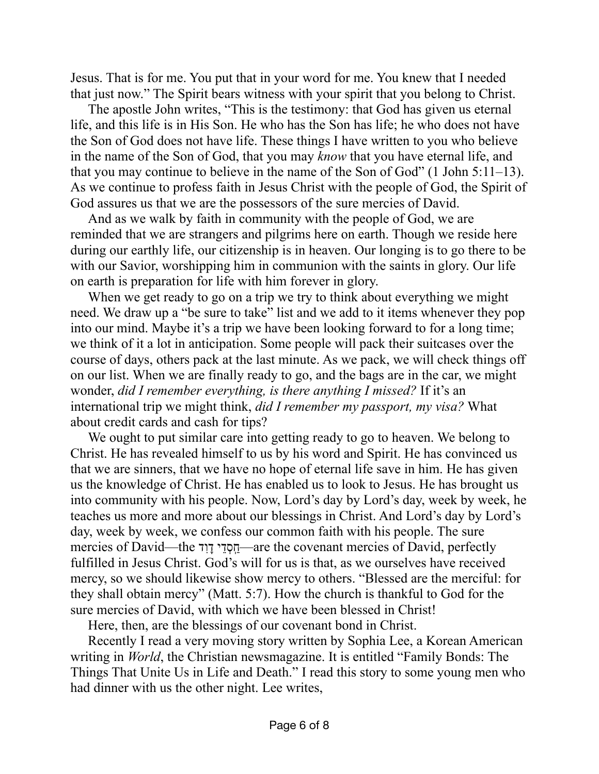Jesus. That is for me. You put that in your word for me. You knew that I needed that just now." The Spirit bears witness with your spirit that you belong to Christ.

The apostle John writes, "This is the testimony: that God has given us eternal life, and this life is in His Son. He who has the Son has life; he who does not have the Son of God does not have life. These things I have written to you who believe in the name of the Son of God, that you may *know* that you have eternal life, and that you may continue to believe in the name of the Son of God" (1 John 5:11–13). As we continue to profess faith in Jesus Christ with the people of God, the Spirit of God assures us that we are the possessors of the sure mercies of David.

And as we walk by faith in community with the people of God, we are reminded that we are strangers and pilgrims here on earth. Though we reside here during our earthly life, our citizenship is in heaven. Our longing is to go there to be with our Savior, worshipping him in communion with the saints in glory. Our life on earth is preparation for life with him forever in glory.

When we get ready to go on a trip we try to think about everything we might need. We draw up a "be sure to take" list and we add to it items whenever they pop into our mind. Maybe it's a trip we have been looking forward to for a long time; we think of it a lot in anticipation. Some people will pack their suitcases over the course of days, others pack at the last minute. As we pack, we will check things off on our list. When we are finally ready to go, and the bags are in the car, we might wonder, *did I remember everything, is there anything I missed?* If it's an international trip we might think, *did I remember my passport, my visa?* What about credit cards and cash for tips?

We ought to put similar care into getting ready to go to heaven. We belong to Christ. He has revealed himself to us by his word and Spirit. He has convinced us that we are sinners, that we have no hope of eternal life save in him. He has given us the knowledge of Christ. He has enabled us to look to Jesus. He has brought us into community with his people. Now, Lord's day by Lord's day, week by week, he teaches us more and more about our blessings in Christ. And Lord's day by Lord's day, week by week, we confess our common faith with his people. The sure mercies of David—the הַסְסְדֵי דָוִד -are the covenant mercies of David, perfectly fulfilled in Jesus Christ. God's will for us is that, as we ourselves have received mercy, so we should likewise show mercy to others. "Blessed are the merciful: for they shall obtain mercy" (Matt. 5:7). How the church is thankful to God for the sure mercies of David, with which we have been blessed in Christ!

Here, then, are the blessings of our covenant bond in Christ.

Recently I read a very moving story written by Sophia Lee, a Korean American writing in *World*, the Christian newsmagazine. It is entitled "Family Bonds: The Things That Unite Us in Life and Death." I read this story to some young men who had dinner with us the other night. Lee writes,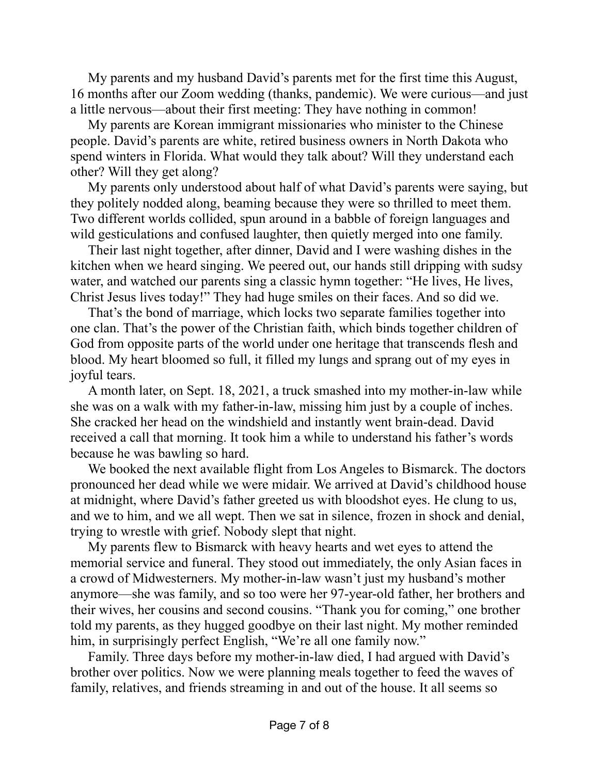My parents and my husband David's parents met for the first time this August, 16 months after our Zoom wedding (thanks, pandemic). We were curious—and just a little nervous—about their first meeting: They have nothing in common!

My parents are Korean immigrant missionaries who minister to the Chinese people. David's parents are white, retired business owners in North Dakota who spend winters in Florida. What would they talk about? Will they understand each other? Will they get along?

My parents only understood about half of what David's parents were saying, but they politely nodded along, beaming because they were so thrilled to meet them. Two different worlds collided, spun around in a babble of foreign languages and wild gesticulations and confused laughter, then quietly merged into one family.

Their last night together, after dinner, David and I were washing dishes in the kitchen when we heard singing. We peered out, our hands still dripping with sudsy water, and watched our parents sing a classic hymn together: "He lives, He lives, Christ Jesus lives today!" They had huge smiles on their faces. And so did we.

That's the bond of marriage, which locks two separate families together into one clan. That's the power of the Christian faith, which binds together children of God from opposite parts of the world under one heritage that transcends flesh and blood. My heart bloomed so full, it filled my lungs and sprang out of my eyes in joyful tears.

A month later, on Sept. 18, 2021, a truck smashed into my mother-in-law while she was on a walk with my father-in-law, missing him just by a couple of inches. She cracked her head on the windshield and instantly went brain-dead. David received a call that morning. It took him a while to understand his father's words because he was bawling so hard.

We booked the next available flight from Los Angeles to Bismarck. The doctors pronounced her dead while we were midair. We arrived at David's childhood house at midnight, where David's father greeted us with bloodshot eyes. He clung to us, and we to him, and we all wept. Then we sat in silence, frozen in shock and denial, trying to wrestle with grief. Nobody slept that night.

My parents flew to Bismarck with heavy hearts and wet eyes to attend the memorial service and funeral. They stood out immediately, the only Asian faces in a crowd of Midwesterners. My mother-in-law wasn't just my husband's mother anymore—she was family, and so too were her 97-year-old father, her brothers and their wives, her cousins and second cousins. "Thank you for coming," one brother told my parents, as they hugged goodbye on their last night. My mother reminded him, in surprisingly perfect English, "We're all one family now."

Family. Three days before my mother-in-law died, I had argued with David's brother over politics. Now we were planning meals together to feed the waves of family, relatives, and friends streaming in and out of the house. It all seems so